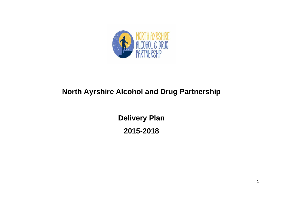

# **North Ayrshire Alcohol and Drug Partnership**

**Delivery Plan 2015-2018**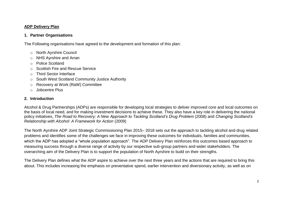#### **ADP Delivery Plan**

#### **1. Partner Organisations**

The Following organisations have agreed to the development and formation of this plan:

- o North Ayrshire Council
- o NHS Ayrshire and Arran
- o Police Scotland
- o Scottish Fire and Rescue Service
- o Third Sector Interface
- o South West Scotland Community Justice Authority
- o Recovery at Work (RaW) Committee
- o Jobcentre Plus

# **2. Introduction**

Alcohol & Drug Partnerships (ADPs) are responsible for developing local strategies to deliver improved core and local outcomes on the basis of local need, and for making investment decisions to achieve these. They also have a key role in delivering the national policy initiatives, *The Road to Recovery: A New Approach to Tackling Scotland's Drug Problem* (2008) and *Changing Scotland's Relationship with Alcohol: A Framework for Action* (2009)

The North Ayrshire ADP Joint Strategic Commissioning Plan 2015– 2018 sets out the approach to tackling alcohol and drug related problems and identifies some of the challenges we face in improving these outcomes for individuals, families and communities, which the ADP has adopted a "whole population approach". The ADP Delivery Plan reinforces this outcomes based approach to measuring success through a diverse range of activity by our respective sub-group partners and wider stakeholders. The overarching aim of the Delivery Plan is to support the population of North Ayrshire to build on their strengths.

The Delivery Plan defines what the ADP aspire to achieve over the next three years and the actions that are required to bring this about. This includes increasing the emphasis on preventative spend, earlier intervention and diversionary activity, as well as on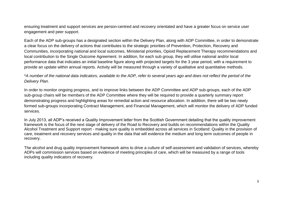ensuring treatment and support services are person-centred and recovery orientated and have a greater focus on service user engagement and peer support.

Each of the ADP sub-groups has a designated section within the Delivery Plan, along with ADP Committee, in order to demonstrate a clear focus on the delivery of actions that contributes to the strategic priorities of Prevention, Protection, Recovery and Communities, incorporating national and local outcomes, Ministerial priorities, Opioid Replacement Therapy recommendations and local contribution to the Single Outcome Agreement. In addition, for each sub group, they will utilise national and/or local performance data that indicates an initial baseline figure along with projected targets for the 3 year period, with a requirement to provide an update within annual reports. Activity will be measured through a variety of qualitative and quantitative methods.

\**A number of the national data indicators, available to the ADP, refer to several years ago and does not reflect the period of the Delivery Plan.*

In order to monitor ongoing progress, and to improve links between the ADP Committee and ADP sub-groups, each of the ADP sub-group chairs will be members of the ADP Committee where they will be required to provide a quarterly summary report demonstrating progress and highlighting areas for remedial action and resource allocation. In addition, there will be two newly formed sub-groups incorporating Contract Management, and Financial Management, which will monitor the delivery of ADP funded services.

In July 2013, all ADP's received a Quality Improvement letter from the Scottish Government detailing that the quality improvement framework is the focus of the next stage of delivery of the Road to Recovery and builds on recommendations within the Quality Alcohol Treatment and Support report - making sure quality is embedded across all services in Scotland: Quality in the provision of care, treatment and recovery services and quality in the data that will evidence the medium and long term outcomes of people in recovery.

The alcohol and drug quality improvement framework aims to drive a culture of self-assessment and validation of services, whereby ADPs will commission services based on evidence of meeting principles of care, which will be measured by a range of tools including quality indicators of recovery.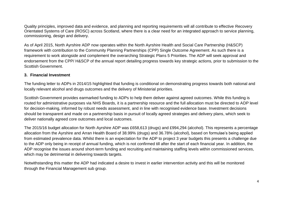Quality principles, improved data and evidence, and planning and reporting requirements will all contribute to effective Recovery Orientated Systems of Care (ROSC) across Scotland, where there is a clear need for an integrated approach to service planning, commissioning, design and delivery.

As of April 2015, North Ayrshire ADP now operates within the North Ayrshire Health and Social Care Partnership (H&SCP) framework with contribution to the Community Planning Partnerships (CPP) Single Outcome Agreement. As such there is a requirement to work alongside and complement the overarching Strategic Plans 5 Priorities. The ADP will seek approval and endorsement from the CPP/ H&SCP of the annual report detailing progress towards key strategic actions, prior to submission to the Scottish Government.

#### **3. Financial Investment**

The funding letter to ADPs in 2014/15 highlighted that funding is conditional on demonstrating progress towards both national and locally relevant alcohol and drugs outcomes and the delivery of Ministerial priorities.

Scottish Government provides earmarked funding to ADPs to help them deliver against agreed outcomes. While this funding is routed for administrative purposes via NHS Boards, it is a partnership resource and the full allocation must be directed to ADP level for decision-making, informed by robust needs assessment, and in line with recognised evidence base. Investment decisions should be transparent and made on a partnership basis in pursuit of locally agreed strategies and delivery plans, which seek to deliver nationally agreed core outcomes and local outcomes.

The 2015/16 budget allocation for North Ayrshire ADP was £658,613 (drugs) and £994,294 (alcohol). This represents a percentage allocation from the Ayrshire and Arran Health Board of 38.99% (drugs) and 36.78% (alcohol), based on formulae's being applied from estimated prevalence data. Whilst there is an expectation for the ADP to project 3 year budgets this presents a challenge due to the ADP only being in receipt of annual funding, which is not confirmed till after the start of each financial year. In addition, the ADP recognise the issues around short-term funding and recruiting and maintaining staffing levels within commissioned services, which may be detrimental in delivering towards targets.

Notwithstanding this matter the ADP had indicated a desire to invest in earlier intervention activity and this will be monitored through the Financial Management sub group.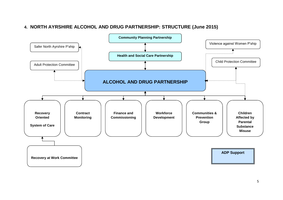# **4. NORTH AYRSHIRE ALCOHOL AND DRUG PARTNERSHIP: STRUCTURE (June 2015)**

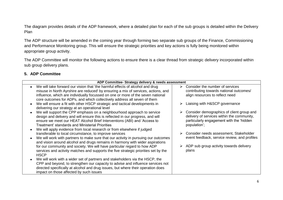The diagram provides details of the ADP framework, where a detailed plan for each of the sub groups is detailed within the Delivery Plan

The ADP structure will be amended in the coming year through forming two separate sub groups of the Finance, Commissioning and Performance Monitoring group. This will ensure the strategic priorities and key actions is fully being monitored within appropriate group activity.

The ADP Committee will monitor the following actions to ensure there is a clear thread from strategic delivery incorporated within sub group delivery plans.

# **5. ADP Committee**

| ADP Committee- Strategy delivery & needs assessment                                                                                                                                                                                                                                                                                                                                                                            |                                                                                                                                                                                                    |
|--------------------------------------------------------------------------------------------------------------------------------------------------------------------------------------------------------------------------------------------------------------------------------------------------------------------------------------------------------------------------------------------------------------------------------|----------------------------------------------------------------------------------------------------------------------------------------------------------------------------------------------------|
| We will take forward our vision that 'the harmful effects of alcohol and drug<br>misuse in North Ayrshire are reduced' by ensuring a mix of services, actions, and<br>influence, which are individually focussed on one or more of the seven national<br>core outcomes for ADPs, and which collectively address all seven of them                                                                                              | Consider the number of services<br>$\triangleright$<br>contributing towards national outcomes/<br>align resources to reflect need                                                                  |
| We will ensure a fit with other HSCP strategic and tactical developments in<br>delivering our strategy at an operational level                                                                                                                                                                                                                                                                                                 | Liaising with H&SCP governance                                                                                                                                                                     |
| We will support the CPP emphasis on a neighbourhood approach to service<br>design and delivery and will ensure this is reflected in our progress, and will<br>ensure we meet our HEAT Alcohol Brief Interventions (ABI) and 'Access to<br>Treatment' standards and Ministerial Priorities<br>We will apply evidence from local research or from elsewhere if judged<br>transferable to local circumstance, to improve services | Consider demographics of client group and<br>delivery of services within the community,<br>particularly engagement with the 'hidden<br>population';<br>Consider needs assessment, Stakeholder<br>➤ |
| We will work with partners to make sure that our activity in pursuing our outcomes<br>and vision around alcohol and drugs remains in harmony with wider aspirations                                                                                                                                                                                                                                                            | event feedback, service review, and profiles                                                                                                                                                       |
| for our community and society. We will have particular regard to how ADP<br>services and activity matches and supports the five strategic priorities set by the<br><b>HSCP</b>                                                                                                                                                                                                                                                 | ADP sub group activity towards delivery<br>plans                                                                                                                                                   |
| We will work with a wider set of partners and stakeholders via the HSCP, the<br>CPP and beyond, to strengthen our capacity to advise and influence services not<br>directed specifically at alcohol and drug issues, but where their operation does<br>impact on those affected by such issues                                                                                                                                 |                                                                                                                                                                                                    |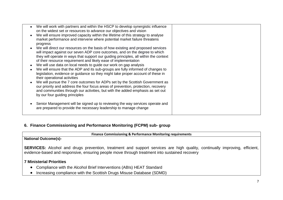| We will work with partners and within the HSCP to develop synergistic influence<br>on the widest set or resources to advance our objectives and vision |  |
|--------------------------------------------------------------------------------------------------------------------------------------------------------|--|
|                                                                                                                                                        |  |
| We will ensure improved capacity within the lifetime of this strategy to analyse                                                                       |  |
| market performance and intervene where potential market failure threatens                                                                              |  |
| progress                                                                                                                                               |  |
| We will direct our resources on the basis of how existing and proposed services                                                                        |  |
| will impact against our seven ADP core outcomes, and on the degree to which                                                                            |  |
| they will operate in ways that support our guiding principles, all within the context                                                                  |  |
|                                                                                                                                                        |  |
| of their resource requirement and likely ease of implementation                                                                                        |  |
| We will use data on local needs to guide our work on gap analysis                                                                                      |  |
| We will ensure that the ADP and its sub-groups are fully informed of changes to                                                                        |  |
| legislation, evidence or guidance so they might take proper account of these in                                                                        |  |
| their operational activities                                                                                                                           |  |
| We will pursue the 7 core outcomes for ADPs set by the Scottish Government as                                                                          |  |
| our priority and address the four focus areas of prevention, protection, recovery                                                                      |  |
|                                                                                                                                                        |  |
| and communities through our activities, but with the added emphasis as set out                                                                         |  |
| by our four guiding principles                                                                                                                         |  |
|                                                                                                                                                        |  |
| Senior Management will be signed up to reviewing the way services operate and                                                                          |  |
| are prepared to provide the necessary leadership to manage change                                                                                      |  |
|                                                                                                                                                        |  |
|                                                                                                                                                        |  |

### **6. Finance Commissioning and Performance Monitoring (FCPM) sub- group**

**Finance Commissioning & Performance Monitoring requirements**

# **National Outcome(s)-**

**SERVICES:** Alcohol and drugs prevention, treatment and support services are high quality, continually improving, efficient, evidence-based and responsive, ensuring people move through treatment into sustained recovery

#### **7 Ministerial Priorities**

- Compliance with the Alcohol Brief Interventions (ABIs) HEAT Standard
- Increasing compliance with the Scottish Drugs Misuse Database (SDMD)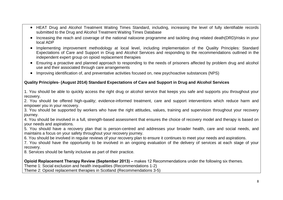- HEAT Drug and Alcohol Treatment Waiting Times Standard, including, increasing the level of fully identifiable records submitted to the Drug and Alcohol Treatment Waiting Times Database
- Increasing the reach and coverage of the national naloxone programme and tackling drug related death(DRD)/risks in your local ADP
- Implementing improvement methodology at local level, including implementation of the Quality Principles: Standard Expectations of Care and Support in Drug and Alcohol Services and responding to the recommendations outlined in the independent expert group on opioid replacement therapies
- Ensuring a proactive and planned approach to responding to the needs of prisoners affected by problem drug and alcohol use and their associated through care arrangements
- Improving identification of, and preventative activities focused on, new psychoactive substances (NPS)

# **Quality Principles- (August 2014) Standard Expectations of Care and Support in Drug and Alcohol Services**

1. You should be able to quickly access the right drug or alcohol service that keeps you safe and supports you throughout your recovery.

2. You should be offered high-quality; evidence-informed treatment, care and support interventions which reduce harm and empower you in your recovery.

3. You should be supported by workers who have the right attitudes, values, training and supervision throughout your recovery journey.

4. You should be involved in a full, strength-based assessment that ensures the choice of recovery model and therapy is based on your needs and aspirations.

5. You should have a recovery plan that is person-centred and addresses your broader health, care and social needs, and maintains a focus on your safety throughout your recovery journey.

6. You should be involved in regular reviews of your recovery plan to ensure it continues to meet your needs and aspirations.

7. You should have the opportunity to be involved in an ongoing evaluation of the delivery of services at each stage of your recovery.

8. Services should be family inclusive as part of their practice.

**Opioid Replacement Therapy Review (September 2013) –** makes 12 Recommendations under the following six themes.

Theme 1: Social exclusion and health inequalities (Recommendations 1-2)

Theme 2: Opioid replacement therapies in Scotland (Recommendations 3-5)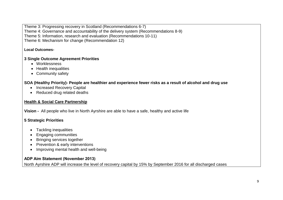Theme 3: Progressing recovery in Scotland (Recommendations 6-7) Theme 4: Governance and accountability of the delivery system (Recommendations 8-9) Theme 5: Information, research and evaluation (Recommendations 10-11)

Theme 6: Mechanism for change (Recommendation 12)

# **Local Outcomes-**

# **3 Single Outcome Agreement Priorities**

- Worklessness
- Health inequalities
- Community safety

# **SOA (Healthy Priority)- People are healthier and experience fewer risks as a result of alcohol and drug use**

- Increased Recovery Capital
- Reduced drug related deaths

# **Health & Social Care Partnership**

**Vision -** All people who live in North Ayrshire are able to have a safe, healthy and active life

# **5 Strategic Priorities**

- Tackling inequalities
- Engaging communities
- Bringing services together
- Prevention & early interventions
- Improving mental health and well-being

# **ADP Aim Statement (November 2013)**

North Ayrshire ADP will increase the level of recovery capital by 15% by September 2016 for all discharged cases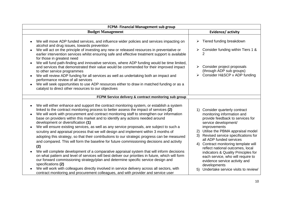| FCPM- Financial Management sub group                                                                                                                                                                                                                                                                                                                                                                                                                                                                                                                                                                                                                                                                                                                                                                                                                                                                                                                                                                                                                                                                                                                                                                                                                                                                                                     |                                                                                                                                                                                                                                                                                                                                                                                                                                                                                                                                                                |  |  |  |  |
|------------------------------------------------------------------------------------------------------------------------------------------------------------------------------------------------------------------------------------------------------------------------------------------------------------------------------------------------------------------------------------------------------------------------------------------------------------------------------------------------------------------------------------------------------------------------------------------------------------------------------------------------------------------------------------------------------------------------------------------------------------------------------------------------------------------------------------------------------------------------------------------------------------------------------------------------------------------------------------------------------------------------------------------------------------------------------------------------------------------------------------------------------------------------------------------------------------------------------------------------------------------------------------------------------------------------------------------|----------------------------------------------------------------------------------------------------------------------------------------------------------------------------------------------------------------------------------------------------------------------------------------------------------------------------------------------------------------------------------------------------------------------------------------------------------------------------------------------------------------------------------------------------------------|--|--|--|--|
| <b>Budget Management</b>                                                                                                                                                                                                                                                                                                                                                                                                                                                                                                                                                                                                                                                                                                                                                                                                                                                                                                                                                                                                                                                                                                                                                                                                                                                                                                                 | Evidence/activity                                                                                                                                                                                                                                                                                                                                                                                                                                                                                                                                              |  |  |  |  |
| We will move ADP funded services, and influence wider policies and services impacting on<br>alcohol and drug issues, towards prevention<br>We will act on the principle of investing any new or released resources in preventative or<br>$\bullet$<br>earlier intervention services whilst ensuring safe and effective treatment support is available<br>for those in greatest need<br>We will fund path-finding and innovative services, where ADP funding would be time limited,<br>$\bullet$<br>and services that demonstrated their value would be commended for their improved impact<br>to other service programmes<br>We will review ADP funding for all services as well as undertaking both an impact and<br>performance review of all services<br>We will seek opportunities to use ADP resources either to draw in matched funding or as a<br>$\bullet$<br>catalyst to direct other resources to our objectives                                                                                                                                                                                                                                                                                                                                                                                                               | Tiered funding breakdown<br>➤<br>Consider funding within Tiers 1 &<br>$\blacktriangleright$<br>Consider project proposals<br>➤<br>(through ADP sub groups)<br>> Consider H&SCP v ADP funding                                                                                                                                                                                                                                                                                                                                                                   |  |  |  |  |
| FCPM Service delivery & contract monitoring sub group                                                                                                                                                                                                                                                                                                                                                                                                                                                                                                                                                                                                                                                                                                                                                                                                                                                                                                                                                                                                                                                                                                                                                                                                                                                                                    |                                                                                                                                                                                                                                                                                                                                                                                                                                                                                                                                                                |  |  |  |  |
| We will either enhance and support the contract monitoring system, or establish a system<br>$\bullet$<br>linked to the contract monitoring process to better assess the impact of services (2)<br>We will work with procurement and contract monitoring staff to strengthen our information<br>$\bullet$<br>base on providers within this market and to identify any actions needed around<br>development or diversification (1)<br>We will ensure existing services, as well as any service proposals, are subject to such a<br>$\bullet$<br>scrutiny and appraisal process that we will design and implement within 3 months of<br>adopting this strategy, so that their contributions to our strategic progress can be measured<br>and compared. This will form the baseline for future commissioning decisions and activity<br>(2)<br>We will complete development of a comparative appraisal system that will inform decisions<br>on what pattern and level of services will best deliver our priorities in future, which will form<br>our forward commissioning strategy/plan and determine specific service design and<br>specifications (2)<br>We will work with colleagues directly involved in service delivery across all sectors, with<br>contract monitoring and procurement colleagues, and with provider and service user | Consider quarterly contract<br>$\left( \begin{matrix} 1 \end{matrix} \right)$<br>monitoring information and<br>provide feedback to services for<br>service development/<br>improvements<br>Utilise the PBMA appraisal model<br>2)<br>Revised service specifications for<br>3)<br>all ADP funded services<br>4) Contract monitoring template will<br>reflect national outcomes, local<br>indicators & Quality Principles for<br>each service, who will require to<br>evidence service activity and<br>developments<br>Undertake service visits to review/<br>5) |  |  |  |  |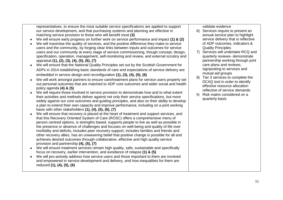representatives, to ensure the most suitable service specifications are applied to support our service development, and that purchasing systems and planning are effective in matching service provision to those who will benefit most **(3)**

- We will ensure early progress on further work on service performance and impact **(1) & (2)**
- We will maximise the quality of services, and the positive difference they make to service users and the community, by forging clear links between inputs and outcomes for service users and our community at every stage of service commissioning, though concept, design, specification, operation, management, self-monitoring and review, and external scrutiny and appraisal **(1), (2), (3), (4), (5), (6), (7)**
- We will ensure that the National Quality Principles set out by the Scottish Government for ADPs in 2014 establishing basic standards of care and expectations of service delivery are embedded in service design and reconfiguration **(1), (3), (4), (5), (6)**
- We will work amongst partners to ensure care/treatment plans for service users properly set out personal outcomes that are matched to ADP core outcomes and wider social and health policy agenda **(4) & (5)**
- We will require those involved in service provision to demonstrate how and to what extent their activities and methods deliver against not only their service specifications, but more widely against our core outcomes and guiding principles, and also on their ability to develop a plan to extend their own capacity and improve performance, including on a joint working basis with other stakeholders **(1), (4), (5), (6), (7)**
- We will ensure that recovery is placed at the heart of treatment and support services, and that this Recovery Oriented System of Care (ROSC) offers a comprehensive menu of person centred options, is strengths based, supports people to live as well as possible in the presence or absence of challenges and focuses on well-being and quality of life over morbidity and deficits, includes peer recovery support, includes families and friends and other recovery allies, has an unwavering belief that positive change is possible for all and achieves desired outcomes through collaborative, effective and high quality service provision and partnership **(4), (5), (7)**
- We will ensure treatment services remain high quality, safe, sustainable and specifically focus on recovery, earlier intervention, and avoidance of relapse **(1) & (5)**
- We will pro-actively address how service users and those important to them are involved and empowered in service development and delivery, and how inequalities for them are reduced **(1), (4), (5), (6)**

validate evidence

- 6) Services require to present an annual service plan to highlight service delivery that is reflective of ADP outcomes, indicators & Quality Principles
- 7) Services will undertake RCQ and quarterly reviews- demonstrate partnership working through joint care plans and reviews; signposting to services and mutual aid groups
- 8) Tier 3 services to complete the DCAQ tool in order to identify effective resource allocation reflective of service demands
- 9) Risk matrix considered on a quarterly basis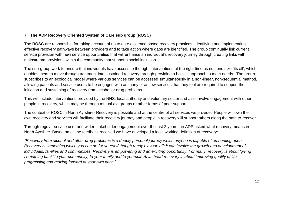# **7. The ADP Recovery Oriented System of Care sub group (ROSC)**

The **ROSC** are responsible for taking account of up to date evidence based recovery practices, identifying and implementing effective recovery pathways between providers and to take action where gaps are identified. The group continually link current service provision with new service opportunities that will enhance an individual's recovery journey through creating links with mainstream provisions within the community that supports social inclusion.

The sub-group work to ensure that individuals have access to the right interventions at the right time as not 'one size fits all', which enables them to move through treatment into sustained recovery through providing a holistic approach to meet needs. The group subscribes to an ecological model where various services can be accessed simultaneously in a non-linear, non-sequential method, allowing patients and service users to be engaged with as many or as few services that they feel are required to support their initiation and sustaining of recovery from alcohol or drug problems.

This will include interventions provided by the NHS, local authority and voluntary sector and also involve engagement with other people in recovery, which may be through mutual aid groups or other forms of peer support.

The context of ROSC in North Ayrshire- Recovery is possible and at the centre of all services we provide. People will own their own recovery and services will facilitate their recovery journey and people in recovery will support others along the path to recover.

Through regular service user and wider stakeholder engagement over the last 2 years the ADP asked what recovery means in North Ayrshire. Based on all the feedback received we have developed a local working definition of recovery:

*"Recovery from alcohol and other drug problems is a deeply personal journey which anyone is capable of embarking upon. Recovery is something which you can do for yourself though rarely by yourself; it can involve the growth and development of individuals, families and communities. Recovery is empowering and an exciting opportunity. For many, recovery is about 'giving something back' to your community, to your family and to yourself. At its heart recovery is about improving quality of life, progressing and moving forward at your own pace."*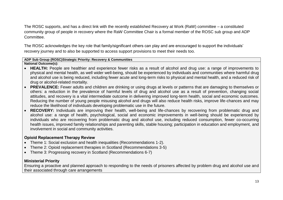The ROSC supports, and has a direct link with the recently established Recovery at Work (RaW) committee – a constituted community group of people in recovery where the RaW Committee Chair is a formal member of the ROSC sub group and ADP Committee.

The ROSC acknowledges the key role that family/significant others can play and are encouraged to support the individuals' recovery journey and to also be supported to access support provisions to meet their needs too.

#### **ADP Sub Group (ROSC)Strategic Priority: Recovery & Communities**

**National Outcome(s):**

- **HEALTH:** People are healthier and experience fewer risks as a result of alcohol and drug use: a range of improvements to physical and mental health, as well wider well-being, should be experienced by individuals and communities where harmful drug and alcohol use is being reduced, including fewer acute and long-term risks to physical and mental health, and a reduced risk of drug or alcohol-related mortality.
- **PREVALENCE:** Fewer adults and children are drinking or using drugs at levels or patterns that are damaging to themselves or others: a reduction in the prevalence of harmful levels of drug and alcohol use as a result of prevention, changing social attitudes, and recovery is a vital intermediate outcome in delivering improved long-term health, social and economic outcomes. Reducing the number of young people misusing alcohol and drugs will also reduce health risks, improve life-chances and may reduce the likelihood of individuals developing problematic use in the future.
- **RECOVERY:** Individuals are improving their health, well-being and life-chances by recovering from problematic drug and alcohol use: a range of health, psychological, social and economic improvements in well-being should be experienced by individuals who are recovering from problematic drug and alcohol use, including reduced consumption, fewer co-occurring health issues, improved family relationships and parenting skills, stable housing; participation in education and employment, and involvement in social and community activities.

# **Opioid Replacement Therapy Review**

- Theme 1: Social exclusion and health inequalities (Recommendations 1-2).
- Theme 2: Opioid replacement therapies in Scotland (Recommendations 3-5)
- Theme 3: Progressing recovery in Scotland (Recommendations 6-7)

# **Ministerial Priority**

Ensuring a proactive and planned approach to responding to the needs of prisoners affected by problem drug and alcohol use and their associated through care arrangements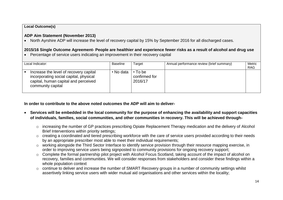#### **Local Outcome(s)**

# **ADP Aim Statement (November 2013)**

• North Ayrshire ADP will increase the level of recovery capital by 15% by September 2016 for all discharged cases.

# **2015/16 Single Outcome Agreement- People are healthier and experience fewer risks as a result of alcohol and drug use**

Percentage of service users indicating an improvement in their recovery capital

| Local Indicator:                                                                                                                              | <b>Baseline</b> | Target                                    | Annual performance review (brief summary) | Metric<br><b>RAG</b> |
|-----------------------------------------------------------------------------------------------------------------------------------------------|-----------------|-------------------------------------------|-------------------------------------------|----------------------|
| Increase the level of recovery capital<br>incorporating social capital, physical<br>capital, human capital and perceived<br>community capital | • No data       | $\cdot$ To be<br>confirmed for<br>2016/17 |                                           |                      |

**In order to contribute to the above noted outcomes the ADP will aim to deliver-**

- **Services will be embedded in the local community for the purpose of enhancing the availability and support capacities of individuals, families, social communities, and other communities in recovery. This will be achieved through**
	- o increasing the number of GP practices prescribing Opiate Replacement Therapy medication and the delivery of Alcohol Brief Interventions within priority settings;
	- o creating a coordinated and tiered prescribing workforce with the care of service users provided according to their needs by an appropriate prescriber most able to meet their individual requirements;
	- o working alongside the Third Sector Interface to identify service provision through their resource mapping exercise, in order to improving service users being signposted to community provisions for ongoing recovery support;
	- o Complete the formal partnership pilot project with Alcohol Focus Scotland, taking account of the impact of alcohol on recovery, families and communities. We will consider responses from stakeholders and consider these findings within a whole population context
	- o continue to deliver and increase the number of SMART Recovery groups in a number of community settings whilst assertively linking service users with wider mutual aid organisations and other services within the locality;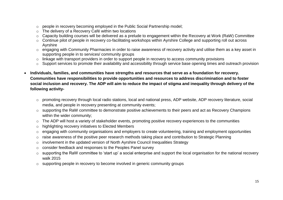- o people in recovery becoming employed in the Public Social Partnership model;
- o The delivery of a Recovery Café within two locations
- o Capacity building courses will be delivered as a prelude to engagement within the Recovery at Work (RaW) Committee
- o Continue pilot of people in recovery co-facilitating workshops within Ayrshire College and supporting roll out across Ayrshire
- o engaging with Community Pharmacies in order to raise awareness of recovery activity and utilise them as a key asset in supporting people in to services/ community groups
- o linkage with transport providers in order to support people in recovery to access community provisions
- o Support services to promote their availability and accessibility through service base opening times and outreach provision
- **Individuals, families, and communities have strengths and resources that serve as a foundation for recovery. Communities have responsibilities to provide opportunities and resources to address discrimination and to foster social inclusion and recovery. The ADP will aim to reduce the impact of stigma and inequality through delivery of the following activity**
	- o promoting recovery through local radio stations, local and national press, ADP website, ADP recovery literature, social media, and people in recovery presenting at community events;
	- o supporting the RaW committee to demonstrate positive achievements to their peers and act as Recovery Champions within the wider community;
	- o The ADP will host a variety of stakeholder events, promoting positive recovery experiences to the communities
	- o highlighting recovery initiatives to Elected Members
	- o engaging with community organisations and employers to create volunteering, training and employment opportunities
	- o raise awareness of the positive peer research methods taking place and contribution to Strategic Planning
	- o involvement in the updated version of North Ayrshire Council Inequalities Strategy
	- o consider feedback and responses to the Peoples Panel survey
	- o supporting the RaW committee to 'start up' a social enterprise and support the local organisation for the national recovery walk 2015
	- o supporting people in recovery to become involved in generic community groups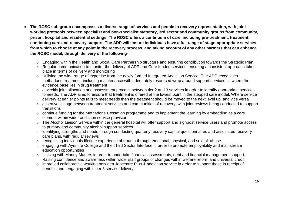- **The ROSC sub group encompasses a diverse range of services and people in recovery representation, with joint working protocols between specialist and non-specialist statutory, 3rd sector and community groups from community, prison, hospital and residential settings. The ROSC offers a continuum of care, including pre-treatment, treatment, continuing care and recovery support. The ADP will ensure individuals have a full range of stage-appropriate services from which to choose at any point in the recovery process, and taking account of any other partners that can enhance the ROSC model, through delivery of the following**
	- o Engaging within the Health and Social Care Partnership structure and ensuring contribution towards the Strategic Plan.
	- o Regular communication to monitor the delivery of ADP and Core funded services, ensuring a consistent approach takes place in terms of delivery and monitoring
	- o Utilising the wide range of expertise from the newly formed Integrated Addiction Service. The ADP recognises methadone treatment, including maintenance with adequately resourced wrap around support services, is where the evidence base lies in drug treatment
	- o a weekly joint allocation and assessment process between tier 2 and 3 services in order to identify appropriate services to needs. The ADP aims to ensure that treatment is offered at the lowest point in the stepped care model. Where service delivery at earlier points fails to meet needs then the treatment should be moved to the next level up, and vice versa
	- o assertive linkage between treatment services and communities of recovery, with joint reviews being conducted to support transitions
	- o continue funding for the Methadone Cessation programme and to implement the learning by embedding as a core element within wider addiction service provision
	- o The Alcohol Liaison Service within the general hospital will offer support and signpost service users and promote access to primary and community alcohol support services.
	- o identifying strengths and needs through conducting quarterly recovery capital questionnaires and associated recovery care plans, with regular reviews
	- o recognising individuals lifetime experience of trauma through emotional, physical, and sexual abuse
	- o engaging with Ayrshire College and the Third Sector Interface in order to promote employability and mainstream education opportunities
	- o Liaising with Money Matters in order to undertake financial assessments, debt and financial management support. Raising confidence and awareness within wider staff groups of changes within welfare reform and universal credit
	- o improved collaborative working between Jobcentre Plus & addiction service in order to support those in receipt of benefits and engaging within tier 3 service delivery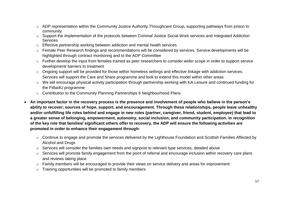- o ADP representation within the Community Justice Authority Throughcare Group, supporting pathways from prison to community
- o Support the implementation of the protocols between Criminal Justice Social Work services and Integrated Addiction **Services**
- o Effective partnership working between addiction and mental health services
- o Female Peer Research findings and recommendations will be considered by services. Service developments will be highlighted through contract monitoring and to the ADP Committee
- o Further develop the input from females trained as peer researchers to consider wider scope in order to support service development/ barriers to treatment
- o Ongoing support will be provided for those within homeless settings and effective linkage with addiction services. Services will support the Care and Share programme and look to extend this model within other areas
- o We will encourage physical activity participation through partnership working with KA Leisure and continued funding for the Fitba4U programme
- o Contribution to the Community Planning Partnerships 6 Neighbourhood Plans
- **An important factor in the recovery process is the presence and involvement of people who believe in the person's ability to recover; sources of hope, support, and encouragement. Through these relationships, people leave unhealthy and/or unfulfilling life roles behind and engage in new roles (partner, caregiver, friend, student, employee) that lead to a greater sense of belonging, empowerment, autonomy, social inclusion, and community participation. In recognition of the key role that families/ significant others offer to recovery, the ADP will ensure the following activities are promoted in order to enhance their engagement through**
	- o Continue to engage and promote the services delivered by the Lighthouse Foundation and Scottish Families Affected by Alcohol and Drugs
	- o Services will consider the families own needs and signpost to relevant type services, detailed above
	- o Services will promote family engagement from the point of referral and encourage inclusion within recovery care plans and reviews taking place
	- o Family members will be encouraged to provide their views on service delivery and areas for improvement
	- o Training opportunities will be promoted to family members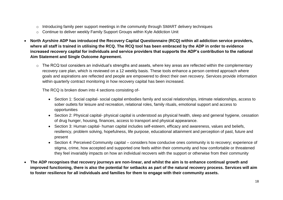- o Introducing family peer support meetings in the community through SMART delivery techniques
- o Continue to deliver weekly Family Support Groups within Kyle Addiction Unit
- **North Ayrshire ADP has introduced the Recovery Capital Questionnaire (RCQ) within all addiction service providers, where all staff is trained in utilising the RCQ. The RCQ tool has been embraced by the ADP in order to evidence increased recovery capital for individuals and service providers that supports the ADP's contribution to the national Aim Statement and Single Outcome Agreement.**
	- o The RCQ tool considers an individual's strengths and assets, where key areas are reflected within the complementary recovery care plan, which is reviewed on a 12 weekly basis. These tools enhance a person centred approach where goals and aspirations are reflected and people are empowered to direct their own recovery. Services provide information within quarterly contract monitoring in how recovery capital has been increased.

The RCQ is broken down into 4 sections consisting of-

- Section 1: Social capital- social capital embodies family and social relationships, intimate relationships, access to sober outlets for leisure and recreation, relational roles, family rituals, emotional support and access to opportunities
- Section 2: Physical capital- physical capital is understood as physical health, sleep and general hygiene, cessation of drug hunger, housing, finances, access to transport and physical appearance.
- Section 3: Human capital- human capital includes self-esteem, efficacy and awareness, values and beliefs, resiliency, problem solving, hopefulness, life purpose, educational attainment and perception of past, future and present
- Section 4: Perceived Community capital considers how conducive ones community is to recovery; experience of stigma, crime, how accepted and supported one feels within their community and how comfortable or threatened they feel invariably impacts on how an individual recovers with the support or otherwise from their community
- **The ADP recognises that recovery journeys are non-linear, and whilst the aim is to enhance continual growth and improved functioning, there is also the potential for setbacks as part of the natural recovery process. Services will aim to foster resilience for all individuals and families for them to engage with their community assets.**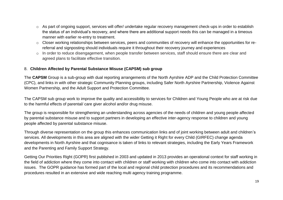- o As part of ongoing support, services will offer/ undertake regular recovery management check-ups in order to establish the status of an individual's recovery, and where there are additional support needs this can be managed in a timeous manner with earlier re-entry to treatment.
- o Closer working relationships between services, peers and communities of recovery will enhance the opportunities for rereferral and signposting should individuals require it throughout their recovery journey and experiences
- o In order to reduce disengagement, when people transfer between services, staff should ensure there are clear and agreed plans to facilitate effective transition.

#### 8. **Children Affected by Parental Substance Misuse (CAPSM) sub group**

The **CAPSM** Group is a sub-group with dual reporting arrangements of the North Ayrshire ADP and the Child Protection Committee (CPC), and links in with other strategic Community Planning groups, including Safer North Ayrshire Partnership, Violence Against Women Partnership, and the Adult Support and Protection Committee.

The CAPSM sub group work to improve the quality and accessibility to services for Children and Young People who are at risk due to the harmful effects of parental/ care giver alcohol and/or drug misuse.

The group is responsible for strengthening an understanding across agencies of the needs of children and young people affected by parental substance misuse and to support partners in developing an effective inter-agency response to children and young people affected by parental substance misuse.

Through diverse representation on the group this enhances communication links and of joint working between adult and children's services. All developments in this area are aligned with the wider Getting it Right for every Child (GIRFEC) change agenda developments in North Ayrshire and that cognisance is taken of links to relevant strategies, including the Early Years Framework and the Parenting and Family Support Strategy.

Getting Our Priorities Right (GOPR) first published in 2003 and updated in 2013 provides an operational context for staff working in the field of addiction where they come into contact with children or staff working with children who come into contact with addiction issues. The GOPR guidance has formed part of the local and regional child protection procedures and its recommendations and procedures resulted in an extensive and wide reaching multi agency training programme.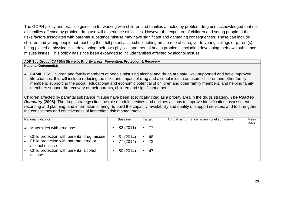The GOPR policy and practice guideline for working with children and families affected by problem drug use acknowledged that not all families affected by problem drug use will experience difficulties. However the exposure of children and young people to the risks factors associated with parental substance misuse may have significant and damaging consequences. These can include children and young people not reaching their full potential at school, taking on the role of caregiver to young siblings or parent(s), being placed at physical risk, developing their own physical and mental health problems, including developing their own substance misuse issues. This policy has since been expanded to include families affected by alcohol misuse.

#### **ADP Sub Group (CAPSM) Strategic Priority areas: Prevention, Protection & Recovery**

**National Outcome(s):**

 **FAMILIES:** Children and family members of people misusing alcohol and drugs are safe, well-supported and have improved life-chances: this will include reducing the risks and impact of drug and alcohol misuse on users' children and other family members; supporting the social, educational and economic potential of children and other family members; and helping family members support the recovery of their parents, children and significant others.

Children affected by parental substance misuse have been specifically cited as a priority area in the drugs strategy, *The Road to Recovery* **(2008)**. The drugs strategy cites the role of adult services and outlines actions to improve identification, assessment, recording and planning, and information sharing; to build the capacity, availability and quality of support services; and to strengthen the consistency and effectiveness of immediate risk management.

| National Indicator:                                                                                                                                        | <b>Baseline</b>                               | Target                                       | Annual performance review (brief summary) | Metric<br><b>RAG</b> |
|------------------------------------------------------------------------------------------------------------------------------------------------------------|-----------------------------------------------|----------------------------------------------|-------------------------------------------|----------------------|
| Maternities with drug use                                                                                                                                  | 82 (2011)                                     | 77<br>$\blacksquare$                         |                                           |                      |
| Child protection with parental drug misuse<br>Child protection with parental drug or<br>alcohol misuse<br>Child protection with parental alcohol<br>misuse | 51 (2014)<br>п<br>77 (2014)<br>п<br>50 (2014) | 48<br>п.<br>73<br>$\blacksquare$<br>47<br>п. |                                           |                      |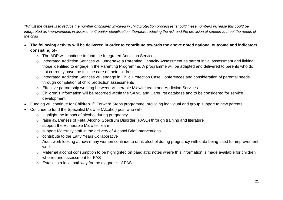\**Whilst the desire is to reduce the number of children involved in child protection processes; should these numbers increase this could be*  interpreted as improvements in assessment/ earlier identification, therefore reducing the risk and the provision of support to meet the needs of *the child* 

- **The following activity will be delivered in order to contribute towards the above noted national outcome and indicators, consisting of**
	- o The ADP will continue to fund the Integrated Addiction Services
	- o Integrated Addiction Services will undertake a Parenting Capacity Assessment as part of initial assessment and linking those identified to engage in the Parenting Programme. A programme will be adapted and delivered to parents who do not currently have the fulltime care of their children
	- o Integrated Addiction Services will engage in Child Protection Case Conferences and consideration of parental needs through completion of child protection assessments
	- o Effective partnership working between Vulnerable Midwife team and Addiction Services
	- o Children's information will be recorded within the SAMS and CareFirst database and to be considered for service development
- Funding will continue for Children 1<sup>st</sup> Forward Steps programme, providing individual and group support to new parents
- Continue to fund the Specialist Midwife (Alcohol) post who will
	- o highlight the impact of alcohol during pregnancy
	- o raise awareness of Fetal Alcohol Spectrum Disorder (FASD) through training and literature
	- o support the Vulnerable Midwife Team
	- o support Maternity staff in the delivery of Alcohol Brief Interventions
	- o contribute to the Early Years Collaborative
	- o Audit work looking at how many women continue to drink alcohol during pregnancy with data being used for improvement work
	- o Maternal alcohol consumption to be highlighted on paediatric notes where this information is made available for children who require assessment for FAS
	- o Establish a local pathway for the diagnosis of FAS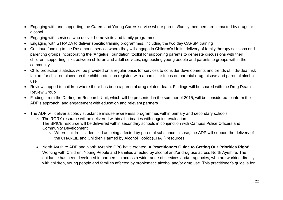- Engaging with and supporting the Carers and Young Carers service where parents/family members are impacted by drugs or alcohol
- Engaging with services who deliver home visits and family programmes
- Engaging with STRADA to deliver specific training programmes, including the two day CAPSM training
- Continue funding to the Rosemount service where they will engage in Children's Units, delivery of family therapy sessions and parenting groups incorporating the 'Angelus Foundation' toolkit for supporting parents to generate discussions with their children; supporting links between children and adult services; signposting young people and parents to groups within the community
- Child protection statistics will be provided on a regular basis for services to consider developments and trends of individual risk factors for children placed on the child protection register, with a particular focus on parental drug misuse and parental alcohol use
- Review support to children where there has been a parental drug related death. Findings will be shared with the Drug Death Review Group
- Findings from the Dartington Research Unit, which will be presented in the summer of 2015, will be considered to inform the ADP's approach, and engagement with education and relevant partners
- The ADP will deliver alcohol/ substance misuse awareness programmes within primary and secondary schools.
	- o The RORY resource will be delivered within all primaries with ongoing evaluation
	- o The SPICE resource will be delivered within secondary schools in conjunction with Campus Police Officers and Community Development
		- o Where children is identified as being affected by parental substance misuse, the ADP will support the delivery of the CHARLIE and Children Harmed by Alcohol Toolkit (CHAT) resources
	- North Ayrshire ADP and North Ayrshire CPC have created **'A Practitioners Guide to Getting Our Priorities Right'**, Working with Children, Young People and Families affected by alcohol and/or drug use across North Ayrshire. The guidance has been developed in partnership across a wide range of services and/or agencies, who are working directly with children, young people and families affected by problematic alcohol and/or drug use. This practitioner's guide is for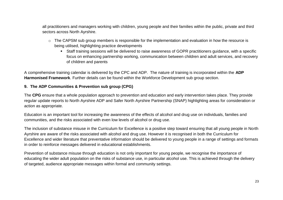all practitioners and managers working with children, young people and their families within the public, private and third sectors across North Ayrshire.

- o The CAPSM sub group members is responsible for the implementation and evaluation in how the resource is being utilised, highlighting practice developments
	- Staff training sessions will be delivered to raise awareness of GOPR practitioners guidance, with a specific focus on enhancing partnership working, communication between children and adult services, and recovery of children and parents

A comprehensive training calendar is delivered by the CPC and ADP. The nature of training is incorporated within the **ADP Harmonised Framework**. Further details can be found within the Workforce Development sub group section.

### **9. The ADP Communities & Prevention sub group (CPG)**

The **CPG** ensure that a whole population approach to prevention and education and early intervention takes place. They provide regular update reports to North Ayrshire ADP and Safer North Ayrshire Partnership (SNAP) highlighting areas for consideration or action as appropriate.

Education is an important tool for increasing the awareness of the effects of alcohol and drug use on individuals, families and communities, and the risks associated with even low levels of alcohol or drug use.

The inclusion of substance misuse in the Curriculum for Excellence is a positive step toward ensuring that all young people in North Ayrshire are aware of the risks associated with alcohol and drug use. However it is recognised in both the Curriculum for Excellence and wider literature that preventative information should be delivered to young people in a range of settings and formats in order to reinforce messages delivered in educational establishments.

Prevention of substance misuse through education is not only important for young people, we recognise the importance of educating the wider adult population on the risks of substance use, in particular alcohol use. This is achieved through the delivery of targeted, audience appropriate messages within formal and community settings.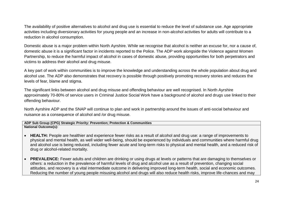The availability of positive alternatives to alcohol and drug use is essential to reduce the level of substance use. Age appropriate activities including diversionary activities for young people and an increase in non-alcohol activities for adults will contribute to a reduction in alcohol consumption.

Domestic abuse is a major problem within North Ayrshire. While we recognise that alcohol is neither an excuse for, nor a cause of, domestic abuse it is a significant factor in incidents reported to the Police. The ADP work alongside the Violence against Women Partnership, to reduce the harmful impact of alcohol in cases of domestic abuse, providing opportunities for both perpetrators and victims to address their alcohol and drug misuse.

A key part of work within communities is to improve the knowledge and understanding across the whole population about drug and alcohol use. The ADP also demonstrates that recovery is possible through positively promoting recovery stories and reduces the levels of fear, blame and stigma.

The significant links between alcohol and drug misuse and offending behaviour are well recognised. In North Ayrshire approximately 70-80% of service users in Criminal Justice Social Work have a background of alcohol and drugs use linked to their offending behaviour.

North Ayrshire ADP and the SNAP will continue to plan and work in partnership around the issues of anti-social behaviour and nuisance as a consequence of alcohol and /or drug misuse.

#### **ADP Sub Group (CPG) Strategic Priority: Prevention; Protection & Communities National Outcome(s):**

- **HEALTH:** People are healthier and experience fewer risks as a result of alcohol and drug use: a range of improvements to physical and mental health, as well wider well-being, should be experienced by individuals and communities where harmful drug and alcohol use is being reduced, including fewer acute and long-term risks to physical and mental health, and a reduced risk of drug or alcohol-related mortality.
- **PREVALENCE:** Fewer adults and children are drinking or using drugs at levels or patterns that are damaging to themselves or others: a reduction in the prevalence of harmful levels of drug and alcohol use as a result of prevention, changing social attitudes, and recovery is a vital intermediate outcome in delivering improved long-term health, social and economic outcomes. Reducing the number of young people misusing alcohol and drugs will also reduce health risks, improve life-chances and may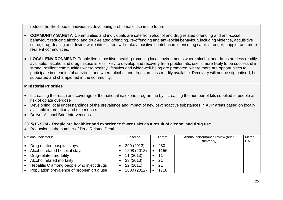reduce the likelihood of individuals developing problematic use in the future.

- **COMMUNITY SAFETY:** Communities and individuals are safe from alcohol and drug related offending and anti-social behaviour: reducing alcohol and drug-related offending, re-offending and anti-social behaviour, including violence, acquisitive crime, drug-dealing and driving while intoxicated, will make a positive contribution in ensuring safer, stronger, happier and more resilient communities.
- **LOCAL ENVIRONMENT:** People live in positive, health-promoting local environments where alcohol and drugs are less readily available: alcohol and drug misuse is less likely to develop and recovery from problematic use is more likely to be successful in strong, resilient communities where healthy lifestyles and wider well-being are promoted, where there are opportunities to participate in meaningful activities, and where alcohol and drugs are less readily available. Recovery will not be stigmatised, but supported and championed in the community.

#### **Ministerial Priorities**

- Increasing the reach and coverage of the national naloxone programme by increasing the number of kits supplied to people at risk of opiate overdose
- Developing local understandings of the prevalence and impact of new psychoactive substances in ADP areas based on locally available information and experience.
- Deliver Alcohol Brief Interventions

### **2015/16 SOA- People are healthier and experience fewer risks as a result of alcohol and drug use**

• Reduction in the number of Drug Related Deaths

| National Indicators:                      | <b>Baseline</b> | Target | Annual performance review (brief<br>summary) | Metric<br><b>RAG</b> |
|-------------------------------------------|-----------------|--------|----------------------------------------------|----------------------|
| Drug related hospital stays               | 290 (2013)      | 280    |                                              |                      |
| Alcohol related hospital stays            | 1208 (2013)     | 1156   |                                              |                      |
| Drug-related mortality                    | 11 (2013)       | 11     |                                              |                      |
| Alcohol related mortality                 | 23 (2013)       | -21    |                                              |                      |
| Hepatitis C among people who inject drugs | 22 (2011)       | 21     |                                              |                      |
| Population prevalence of problem drug use | 1800 (2012)     | 1710   |                                              |                      |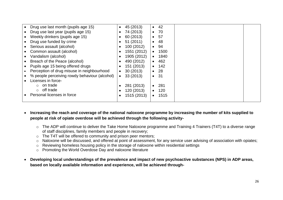| Drug use last month (pupils age 15)           | 45 (2013)<br>$\bullet$  | 42<br>$\bullet$           |
|-----------------------------------------------|-------------------------|---------------------------|
| Drug use last year (pupils age 15)            | 74 (2013)<br>$\bullet$  | 70<br>$\bullet$           |
| Weekly drinkers (pupils age 15)               | 60 (2013)               | 57<br>$\bullet$ $\bullet$ |
| Drug use funded by crime                      | 51(2011)                | 48<br>$\bullet$           |
| Serious assault (alcohol)                     | 100 (2012)<br>$\bullet$ | 94<br>$\bullet$           |
| Common assault (alcohol)                      | 1551 (2012)             | 1500<br>$\bullet$         |
| Vandalism (alcohol)                           | 1905 (2012)             | 1840<br>$\bullet$         |
| Breach of the Peace (alcohol)                 | 490 (2012)              | 462<br>$\bullet$          |
| Pupils age 15 being offered drugs             | 151 (2013)              | 142<br>$\bullet$          |
| Perception of drug misuse in neighbourhood    | 30(2013)<br>$\bullet$   | 28<br>$\bullet$           |
| % people perceiving rowdy behaviour (alcohol) | 33 (2013)<br>$\bullet$  | 31<br>$\bullet$           |
| Licenses in force-                            |                         |                           |
| $\circ$ on trade                              | 281 (2013)              | 281                       |
| $\circ$ off trade                             | 120 (2013)<br>$\bullet$ | 120<br>$\bullet$          |
| Personal licenses in force                    | 1515 (2013)             | 1515                      |
|                                               |                         |                           |

- **Increasing the reach and coverage of the national naloxone programme by increasing the number of kits supplied to people at risk of opiate overdose will be achieved through the following activity**
	- o The ADP will continue to deliver the Take Home Naloxone programme and Training 4 Trainers (T4T) to a diverse range of staff disciplines, family members and people in recovery;
	- o The T4T will be offered to community and prison peer mentors;
	- o Naloxone will be discussed, and offered at point of assessment, for any service user advising of association with opiates;
	- o Reviewing homeless housing policy in the storage of naloxone within residential settings
	- o Promoting the World Overdose Day and naloxone literature
- **Developing local understandings of the prevalence and impact of new psychoactive substances (NPS) in ADP areas, based on locally available information and experience, will be achieved through-**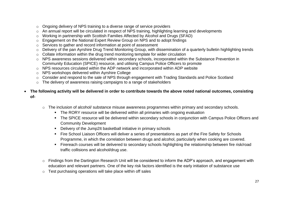- o Ongoing delivery of NPS training to a diverse range of service providers
- o An annual report will be circulated in respect of NPS training, highlighting learning and developments
- o Working in partnership with Scottish Families Affected by Alcohol and Drugs (SFAD)
- o Engagement on the National Expert Review Group on NPS and to adopt findings
- o Services to gather and record information at point of assessment
- o Delivery of the pan Ayrshire Drug Trend Monitoring Group, with dissemination of a quarterly bulletin highlighting trends
- o Collate information within the drug trend monitoring template for wider circulation
- o NPS awareness sessions delivered within secondary schools, incorporated within the Substance Prevention in Community Education (SPICE) resource, and utilising Campus Police Officers to promote
- o NPS resources circulated within the ADP network and incorporated within ADP website
- o NPS workshops delivered within Ayrshire College
- o Consider and respond to the sale of NPS through engagement with Trading Standards and Police Scotland
- o The delivery of awareness raising campaigns to a range of stakeholders
- **The following activity will be delivered in order to contribute towards the above noted national outcomes, consisting of**
	- o The inclusion of alcohol/ substance misuse awareness programmes within primary and secondary schools.
		- The RORY resource will be delivered within all primaries with ongoing evaluation
		- The SPICE resource will be delivered within secondary schools in conjunction with Campus Police Officers and Community Development
		- Delivery of the Jump2It basketball initiative in primary schools
		- Fire School Liaison Officers will deliver a series of presentations as part of the Fire Safety for Schools Programme, in which the correlation between drugs and alcohol, particularly when cooking are covered.
		- Firereach courses will be delivered to secondary schools highlighting the relationship between fire risk/road traffic collisions and alcohol/drug use.
	- o Findings from the Dartington Research Unit will be considered to inform the ADP's approach, and engagement with education and relevant partners. One of the key risk factors identified is the early initiation of substance use
	- o Test purchasing operations will take place within off sales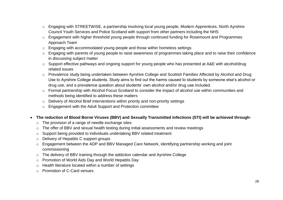- o Engaging with STREETWISE, a partnership involving local young people, Modern Apprentices, North Ayrshire Council Youth Services and Police Scotland with support from other partners including the NHS
- o Engagement with higher threshold young people through continued funding for Rosemount and Programmes Approach Team
- o Engaging with accommodated young people and those within homeless settings
- o Engaging with parents of young people to raise awareness of programmes taking place and to raise their confidence in discussing subject matter
- o Support effective pathways and ongoing support for young people who has presented at A&E with alcohol/drug related issues
- o Prevalence study being undertaken between Ayrshire College and Scottish Families Affected by Alcohol and Drug Use to Ayrshire College students. Study aims to find out the harms caused to students by someone else's alcohol or drug use, and a prevalence question about students' own alcohol and/or drug use included.
- o Formal partnership with Alcohol Focus Scotland to consider the impact of alcohol use within communities and methods being identified to address these matters
- $\circ$  Delivery of Alcohol Brief Interventions within priority and non-priority settings
- o Engagement with the Adult Support and Protection committee
- **The reduction of Blood Borne Viruses (BBV) and Sexually Transmitted Infections (STI) will be achieved through**
	- o The provision of a range of needle exchange sites
	- o The offer of BBV and sexual health testing during initial assessments and review meetings
	- o Support being provided to individuals undertaking BBV related treatment
	- o Delivery of Hepatitis C support groups
	- o Engagement between the ADP and BBV Managed Care Network, identifying partnership working and joint commissioning
	- o The delivery of BBV training through the addiction calendar and Ayrshire College
	- o Promotion of World Aids Day and World Hepatitis Day
	- o Health literature located within a number of settings
	- o Promotion of C-Card venues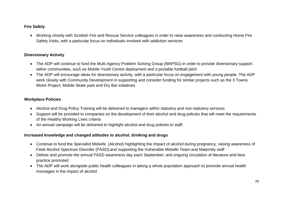# **Fire Safety**

 Working closely with Scottish Fire and Rescue Service colleagues in order to raise awareness and conducting Home Fire Safety Visits, with a particular focus on individuals involved with addiction services

# **Diversionary Activity**

- The ADP will continue to fund the Multi Agency Problem Solving Group (MAPSG) in order to provide diversionary support within communities, such as Mobile Youth Centre deployment and a portable football pitch
- The ADP will encourage ideas for diversionary activity, with a particular focus on engagement with young people. The ADP work closely with Community Development in supporting and consider funding for similar projects such as the 3 Towns Motor Project, Mobile Skate park and Dry Bar initiatives

# **Workplace Policies**

- Alcohol and Drug Policy Training will be delivered to managers within statutory and non-statutory services
- Support will be provided to companies on the development of their alcohol and drug policies that will meet the requirements of the Healthy Working Lives criteria
- An annual campaign will be delivered to highlight alcohol and drug policies to staff.

# **Increased knowledge and changed attitudes to alcohol, drinking and drugs**

- Continue to fund the Specialist Midwife (Alcohol) highlighting the impact of alcohol during pregnancy, raising awareness of Fetal Alcohol Spectrum Disorder (FASD),and supporting the Vulnerable Midwife Team and Maternity staff
- Deliver and promote the annual FASD awareness day each September; and ongoing circulation of literature and best practice promoted
- The ADP will work alongside public health colleagues in taking a whole population approach to promote annual health messages in the impact of alcohol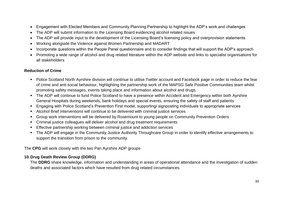- Engagement with Elected Members and Community Planning Partnership to highlight the ADP's work and challenges
- The ADP will submit information to the Licensing Board evidencing alcohol related issues
- The ADP will provide input to the development of the Licensing Board's licensing policy and overprovision statements
- Working alongside the Violence against Women Partnership and MADART
- Incorporate questions within the People Panel questionnaire and to consider findings that will support the ADP's approach
- Promoting a wide range of alcohol and drug related literature within the ADP website and links to specialist organisations for all stakeholders

### **Reduction of Crime**

- Police Scotland North Ayrshire division will continue to utilise Twitter account and Facebook page in order to reduce the fear of crime and anti-social behaviour, highlighting the partnership work of the MAPSG Safe Positive Communities team whilst promoting safety messages, events taking place and information about alcohol and drugs.
- The ADP will continue to fund Police Scotland to have a presence within Accident and Emergency within both Ayrshire General Hospitals during weekends, bank holidays and special events, ensuring the safety of staff and patients
- Engaging with Police Scotland's Prevention First model, supporting/ signposting individuals to appropriate services
- Alcohol Brief Interventions will continue to be delivered with criminal justice services
- Group work interventions will be delivered by Rosemount to young people on Community Prevention Orders
- Criminal justice colleagues will deliver alcohol and drug treatment requirements
- **Effective partnership working between criminal justice and addiction services**
- The ADP will engage in the Community Justice Authority Throughcare Group in order to identify effective arrangements to support the transition from prison to the community

The **CPG** will work closely with the two Pan Ayrshire ADP groups-

### **10.Drug Death Review Group (DDRG)**

The **DDRG** share knowledge, information and understanding in areas of operational attendance and the investigation of sudden deaths and associated factors which have resulted from drug related circumstances.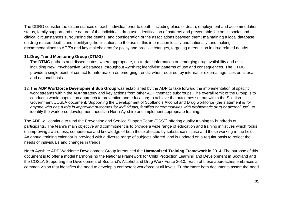The DDRG consider the circumstances of each individual prior to death, including place of death, employment and accommodation status, family support and the nature of the individuals drug use; identification of patterns and preventable factors in social and clinical circumstances surrounding the deaths, and consideration of the associations between them; **m**aintaining a local database on drug related deaths and identifying the limitations to the use of this information locally and nationally; and making recommendations to ADP's and key stakeholders for policy and practice changes, targeting a reduction in drug related deaths.

# **11.Drug Trend Monitoring Group (DTMG)**

The **DTMG** gathers and disseminates, where appropriate, up-to-date information on emerging drug availability and use, including New Psychoactive Substances, throughout Ayrshire; identifying patterns of use and consequences**.** The DTMG provide a single point of contact for information on emerging trends, when required, by internal or external agencies on a local and national basis.

12.The **ADP Workforce Development Sub Group** was established by the ADP to take forward the implementation of specific work streams within the ADP strategy and key actions from other ADP thematic subgroups. The overall remit of the Group is to conduct a whole population approach to prevention and education**;** to achieve the outcomes set out within the Scottish Government/COSLA document: Supporting the Development of Scotland's Alcohol and Drug workforce (the statement is *for anyone who has a role in improving outcomes for individuals, families or communities with problematic drug or alcohol use*); to identify the workforce development needs in North Ayrshire and implement appropriate training.

The ADP will continue to fund the Prevention and Service Support Team (PSST) offering quality training to hundreds of participants. The team's main objective and commitment is to provide a wide range of education and training initiatives which focus on improving awareness, competence and knowledge of both those affected by substance misuse and those working in the field. An annual training calendar is provided with a diverse range of subjects offered, and is updated on a regular basis to reflect the needs of individuals and changes in trends.

North Ayrshire ADP Workforce Development Group introduced the **Harmonised Training Framework** in 2014. The purpose of this document is to offer a model harmonising the National Framework for Child Protection Learning and Development in Scotland and the COSLA Supporting the Development of Scotland's Alcohol and Drug Work Force 2010. Each of these approaches embraces a common vision that identifies the need to develop a competent workforce at all levels. Furthermore both documents assert the need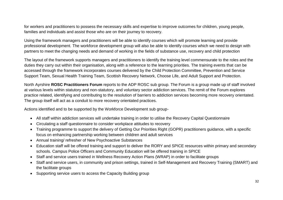for workers and practitioners to possess the necessary skills and expertise to improve outcomes for children, young people, families and individuals and assist those who are on their journey to recovery.

Using the framework managers and practitioners will be able to identify courses which will promote learning and provide professional development. The workforce development group will also be able to identify courses which we need to design with partners to meet the changing needs and demand of working in the fields of substance use, recovery and child protection

The layout of the framework supports managers and practitioners to identify the training level commensurate to the roles and the duties they carry out within their organisation, along with a reference to the learning priorities. The training events that can be accessed through the framework incorporates courses delivered by the Child Protection Committee, Prevention and Service Support Team, Sexual Health Training Team, Scottish Recovery Network, Choose Life, and Adult Support and Protection.

North Ayrshire **ROSC Practitioners Forum** reports to the ADP ROSC sub group. The Forum is a group made up of staff involved at various levels within statutory and non-statutory, and voluntary sector addiction services. The remit of the Forum explores practice related, identifying and contributing to the resolution of barriers to addiction services becoming more recovery orientated. The group itself will act as a conduit to more recovery orientated practices.

Actions identified and to be supported by the Workforce Development sub group-

- All staff within addiction services will undertake training in order to utilise the Recovery Capital Questionnaire
- Circulating a staff questionnaire to consider workplace attitudes to recovery
- Training programme to support the delivery of Getting Our Priorities Right (GOPR) practitioners guidance, with a specific focus on enhancing partnership working between children and adult services
- Annual training/ refresher of New Psychoactive Substances
- Education staff will be offered training and support to deliver the RORY and SPICE resources within primary and secondary schools. Campus Police Officers and Community Education will be offered training in SPICE
- Staff and service users trained in Wellness Recovery Action Plans (WRAP) in order to facilitate groups
- Staff and service users, in community and prison settings, trained in Self-Management and Recovery Training (SMART) and the facilitate groups
- Supporting service users to access the Capacity Building group